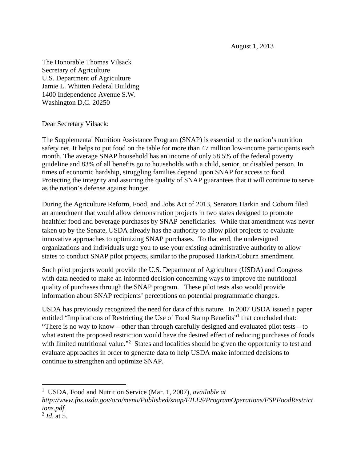August 1, 2013

The Honorable Thomas Vilsack Secretary of Agriculture U.S. Department of Agriculture Jamie L. Whitten Federal Building 1400 Independence Avenue S.W. Washington D.C. 20250

Dear Secretary Vilsack:

The Supplemental Nutrition Assistance Program **(**SNAP) is essential to the nation's nutrition safety net. It helps to put food on the table for more than 47 million low-income participants each month. The average SNAP household has an income of only 58.5% of the federal poverty guideline and 83% of all benefits go to households with a child, senior, or disabled person. In times of economic hardship, struggling families depend upon SNAP for access to food. Protecting the integrity and assuring the quality of SNAP guarantees that it will continue to serve as the nation's defense against hunger.

During the Agriculture Reform, Food, and Jobs Act of 2013, Senators Harkin and Coburn filed an amendment that would allow demonstration projects in two states designed to promote healthier food and beverage purchases by SNAP beneficiaries. While that amendment was never taken up by the Senate, USDA already has the authority to allow pilot projects to evaluate innovative approaches to optimizing SNAP purchases. To that end, the undersigned organizations and individuals urge you to use your existing administrative authority to allow states to conduct SNAP pilot projects, similar to the proposed Harkin/Coburn amendment.

Such pilot projects would provide the U.S. Department of Agriculture (USDA) and Congress with data needed to make an informed decision concerning ways to improve the nutritional quality of purchases through the SNAP program. These pilot tests also would provide information about SNAP recipients' perceptions on potential programmatic changes.

USDA has previously recognized the need for data of this nature. In 2007 USDA issued a paper entitled "Implications of Restricting the Use of Food Stamp Benefits"<sup>1</sup> that concluded that: "There is no way to know – other than through carefully designed and evaluated pilot tests – to what extent the proposed restriction would have the desired effect of reducing purchases of foods with limited nutritional value."<sup>2</sup> States and localities should be given the opportunity to test and evaluate approaches in order to generate data to help USDA make informed decisions to continue to strengthen and optimize SNAP.

<sup>&</sup>lt;sup>1</sup> USDA, Food and Nutrition Service (Mar. 1, 2007), *available at* 

*http://www.fns.usda.gov/ora/menu/Published/snap/FILES/ProgramOperations/FSPFoodRestrict ions.pdf.*

<sup>2</sup> *Id*. at 5.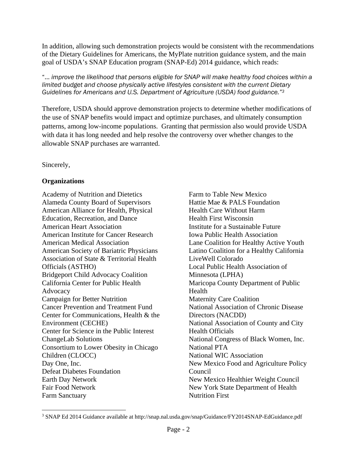In addition, allowing such demonstration projects would be consistent with the recommendations of the Dietary Guidelines for Americans, the MyPlate nutrition guidance system, and the main goal of USDA's SNAP Education program (SNAP-Ed) 2014 guidance, which reads:

"… *improve the likelihood that persons eligible for SNAP will make healthy food choices within a limited budget and choose physically active lifestyles consistent with the current Dietary Guidelines for Americans and U.S. Department of Agriculture (USDA) food guidance."3*

Therefore, USDA should approve demonstration projects to determine whether modifications of the use of SNAP benefits would impact and optimize purchases, and ultimately consumption patterns, among low-income populations. Granting that permission also would provide USDA with data it has long needed and help resolve the controversy over whether changes to the allowable SNAP purchases are warranted.

## Sincerely,

## **Organizations**

Academy of Nutrition and Dietetics Alameda County Board of Supervisors American Alliance for Health, Physical Education, Recreation, and Dance American Heart Association American Institute for Cancer Research American Medical Association American Society of Bariatric Physicians Association of State & Territorial Health Officials (ASTHO) Bridgeport Child Advocacy Coalition California Center for Public Health Advocacy Campaign for Better Nutrition Cancer Prevention and Treatment Fund Center for Communications, Health & the Environment (CECHE) Center for Science in the Public Interest ChangeLab Solutions Consortium to Lower Obesity in Chicago Children (CLOCC) Day One, Inc. Defeat Diabetes Foundation Earth Day Network Fair Food Network Farm Sanctuary

Farm to Table New Mexico Hattie Mae & PALS Foundation Health Care Without Harm Health First Wisconsin Institute for a Sustainable Future Iowa Public Health Association Lane Coalition for Healthy Active Youth Latino Coalition for a Healthy California LiveWell Colorado Local Public Health Association of Minnesota (LPHA) Maricopa County Department of Public Health Maternity Care Coalition National Association of Chronic Disease Directors (NACDD) National Association of County and City Health Officials National Congress of Black Women, Inc. National PTA National WIC Association New Mexico Food and Agriculture Policy Council New Mexico Healthier Weight Council New York State Department of Health Nutrition First

<sup>3</sup> SNAP Ed 2014 Guidance available at http://snap.nal.usda.gov/snap/Guidance/FY2014SNAP-EdGuidance.pdf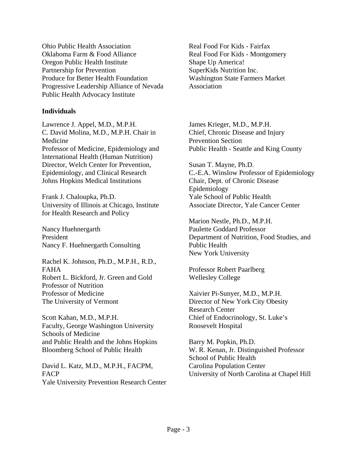Ohio Public Health Association Oklahoma Farm & Food Alliance Oregon Public Health Institute Partnership for Prevention Produce for Better Health Foundation Progressive Leadership Alliance of Nevada Public Health Advocacy Institute

## **Individuals**

Lawrence J. Appel, M.D., M.P.H. C. David Molina, M.D., M.P.H. Chair in Medicine Professor of Medicine, Epidemiology and International Health (Human Nutrition) Director, Welch Center for Prevention, Epidemiology, and Clinical Research Johns Hopkins Medical Institutions

Frank J. Chaloupka, Ph.D. University of Illinois at Chicago, Institute for Health Research and Policy

Nancy Huehnergarth President Nancy F. Huehnergarth Consulting

Rachel K. Johnson, Ph.D., M.P.H., R.D., FAHA Robert L. Bickford, Jr. Green and Gold Professor of Nutrition Professor of Medicine The University of Vermont

Scott Kahan, M.D., M.P.H. Faculty, George Washington University Schools of Medicine and Public Health and the Johns Hopkins Bloomberg School of Public Health

David L. Katz, M.D., M.P.H., FACPM, FACP Yale University Prevention Research Center Real Food For Kids - Fairfax Real Food For Kids - Montgomery Shape Up America! SuperKids Nutrition Inc. Washington State Farmers Market Association

James Krieger, M.D., M.P.H. Chief, Chronic Disease and Injury Prevention Section Public Health - Seattle and King County

Susan T. Mayne, Ph.D. C.-E.A. Winslow Professor of Epidemiology Chair, Dept. of Chronic Disease Epidemiology Yale School of Public Health Associate Director, Yale Cancer Center

Marion Nestle, Ph.D., M.P.H. Paulette Goddard Professor Department of Nutrition, Food Studies, and Public Health New York University

Professor Robert Paarlberg Wellesley College

Xaivier Pi-Sunyer, M.D., M.P.H. Director of New York City Obesity Research Center Chief of Endocrinology, St. Luke's Roosevelt Hospital

Barry M. Popkin, Ph.D. W. R. Kenan, Jr. Distinguished Professor School of Public Health Carolina Population Center University of North Carolina at Chapel Hill